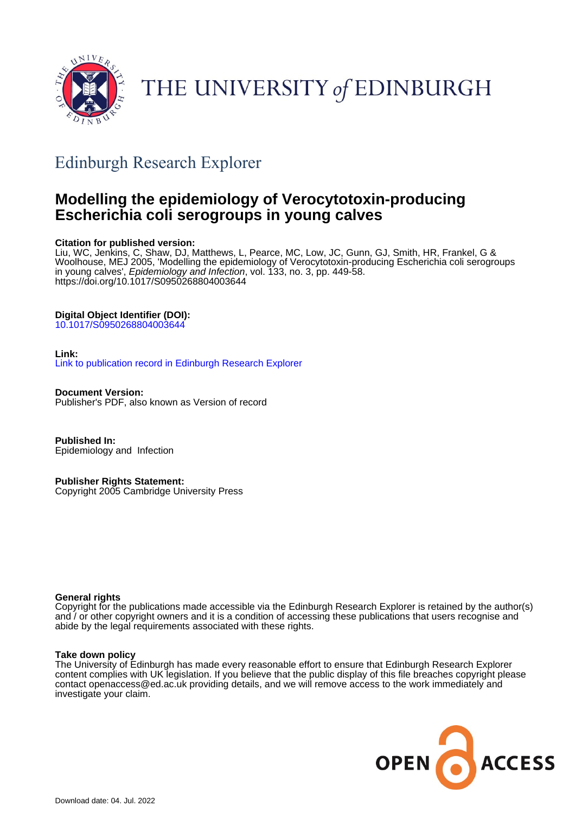

# THE UNIVERSITY of EDINBURGH

# Edinburgh Research Explorer

### **Modelling the epidemiology of Verocytotoxin-producing Escherichia coli serogroups in young calves**

#### **Citation for published version:**

Liu, WC, Jenkins, C, Shaw, DJ, Matthews, L, Pearce, MC, Low, JC, Gunn, GJ, Smith, HR, Frankel, G & Woolhouse, MEJ 2005, 'Modelling the epidemiology of Verocytotoxin-producing Escherichia coli serogroups in young calves', Epidemiology and Infection, vol. 133, no. 3, pp. 449-58. <https://doi.org/10.1017/S0950268804003644>

#### **Digital Object Identifier (DOI):**

[10.1017/S0950268804003644](https://doi.org/10.1017/S0950268804003644)

#### **Link:**

[Link to publication record in Edinburgh Research Explorer](https://www.research.ed.ac.uk/en/publications/293dd89b-75bf-4438-8727-16fc34e7ef0a)

**Document Version:** Publisher's PDF, also known as Version of record

**Published In:** Epidemiology and Infection

**Publisher Rights Statement:** Copyright 2005 Cambridge University Press

#### **General rights**

Copyright for the publications made accessible via the Edinburgh Research Explorer is retained by the author(s) and / or other copyright owners and it is a condition of accessing these publications that users recognise and abide by the legal requirements associated with these rights.

#### **Take down policy**

The University of Edinburgh has made every reasonable effort to ensure that Edinburgh Research Explorer content complies with UK legislation. If you believe that the public display of this file breaches copyright please contact openaccess@ed.ac.uk providing details, and we will remove access to the work immediately and investigate your claim.

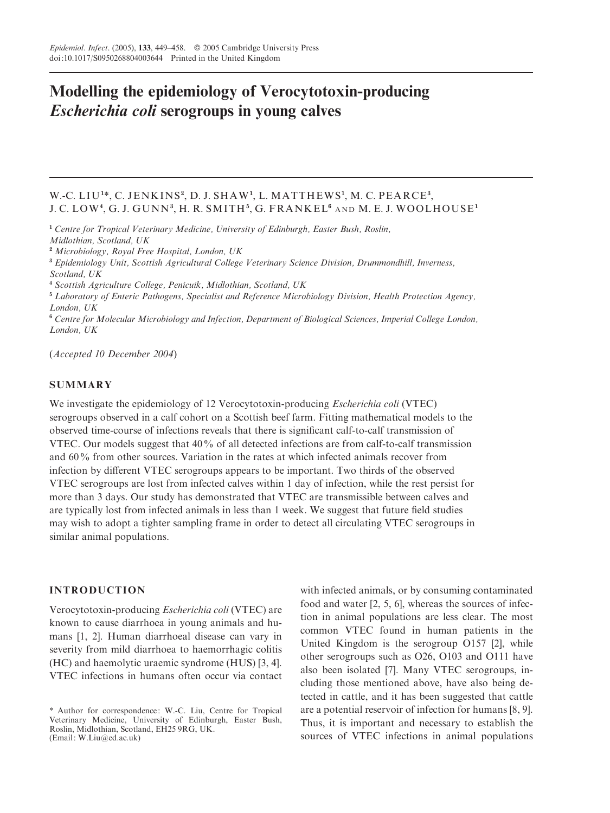## Modelling the epidemiology of Verocytotoxin-producing Escherichia coli serogroups in young calves

#### W.-C. LIU<sup>1\*</sup>, C. JENKINS<sup>2</sup>, D. J. SHAW<sup>1</sup>, L. MATTHEWS<sup>1</sup>, M. C. PEARCE<sup>3</sup>, J. C. LOW<sup>4</sup> , G. J. GUNN<sup>3</sup> , H. R. SM ITH<sup>5</sup> , G. FRANKEL<sup>6</sup> AND M. E. J. WOOLHOUSE<sup>1</sup>

<sup>1</sup> Centre for Tropical Veterinary Medicine, University of Edinburgh, Easter Bush, Roslin, Midlothian, Scotland, UK

<sup>2</sup> Microbiology, Royal Free Hospital, London, UK

<sup>3</sup> Epidemiology Unit, Scottish Agricultural College Veterinary Science Division, Drummondhill, Inverness,

<sup>4</sup> Scottish Agriculture College, Penicuik, Midlothian, Scotland, UK

<sup>5</sup> Laboratory of Enteric Pathogens, Specialist and Reference Microbiology Division, Health Protection Agency, London, UK

<sup>6</sup> Centre for Molecular Microbiology and Infection, Department of Biological Sciences, Imperial College London, London, UK

(Accepted 10 December 2004)

#### **SUMMARY**

We investigate the epidemiology of 12 Verocytotoxin-producing Escherichia coli (VTEC) serogroups observed in a calf cohort on a Scottish beef farm. Fitting mathematical models to the observed time-course of infections reveals that there is significant calf-to-calf transmission of VTEC. Our models suggest that 40% of all detected infections are from calf-to-calf transmission and 60% from other sources. Variation in the rates at which infected animals recover from infection by different VTEC serogroups appears to be important. Two thirds of the observed VTEC serogroups are lost from infected calves within 1 day of infection, while the rest persist for more than 3 days. Our study has demonstrated that VTEC are transmissible between calves and are typically lost from infected animals in less than 1 week. We suggest that future field studies may wish to adopt a tighter sampling frame in order to detect all circulating VTEC serogroups in similar animal populations.

#### INTRODUCTION

Verocytotoxin-producing Escherichia coli (VTEC) are known to cause diarrhoea in young animals and humans [1, 2]. Human diarrhoeal disease can vary in severity from mild diarrhoea to haemorrhagic colitis (HC) and haemolytic uraemic syndrome (HUS) [3, 4]. VTEC infections in humans often occur via contact

with infected animals, or by consuming contaminated food and water [2, 5, 6], whereas the sources of infection in animal populations are less clear. The most common VTEC found in human patients in the United Kingdom is the serogroup O157 [2], while other serogroups such as O26, O103 and O111 have also been isolated [7]. Many VTEC serogroups, including those mentioned above, have also being detected in cattle, and it has been suggested that cattle are a potential reservoir of infection for humans [8, 9]. Thus, it is important and necessary to establish the sources of VTEC infections in animal populations

Scotland, UK

<sup>\*</sup> Author for correspondence: W.-C. Liu, Centre for Tropical Veterinary Medicine, University of Edinburgh, Easter Bush, Roslin, Midlothian, Scotland, EH25 9RG, UK. (Email: W.Liu@ed.ac.uk)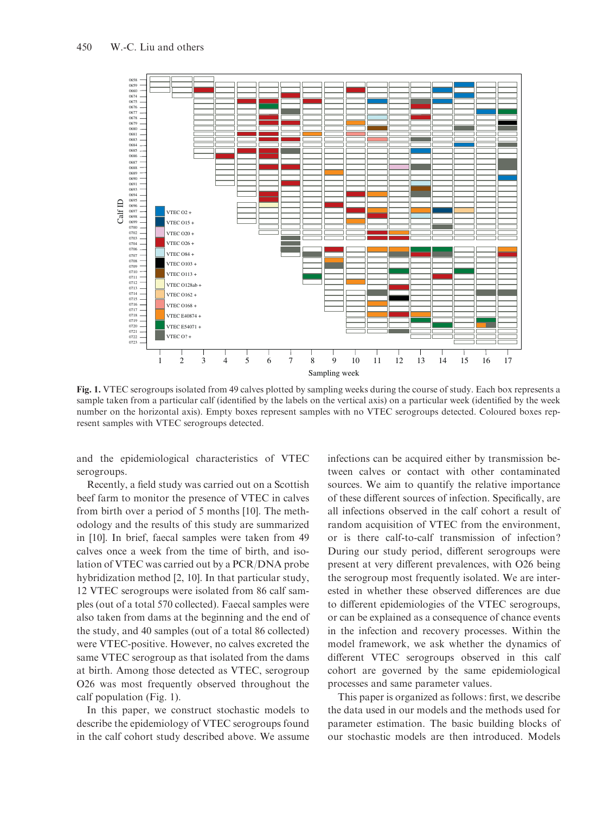

Fig. 1. VTEC serogroups isolated from 49 calves plotted by sampling weeks during the course of study. Each box represents a sample taken from a particular calf (identified by the labels on the vertical axis) on a particular week (identified by the week number on the horizontal axis). Empty boxes represent samples with no VTEC serogroups detected. Coloured boxes represent samples with VTEC serogroups detected.

and the epidemiological characteristics of VTEC serogroups.

Recently, a field study was carried out on a Scottish beef farm to monitor the presence of VTEC in calves from birth over a period of 5 months [10]. The methodology and the results of this study are summarized in [10]. In brief, faecal samples were taken from 49 calves once a week from the time of birth, and isolation of VTEC was carried out by a PCR/DNA probe hybridization method [2, 10]. In that particular study, 12 VTEC serogroups were isolated from 86 calf samples (out of a total 570 collected). Faecal samples were also taken from dams at the beginning and the end of the study, and 40 samples (out of a total 86 collected) were VTEC-positive. However, no calves excreted the same VTEC serogroup as that isolated from the dams at birth. Among those detected as VTEC, serogroup O26 was most frequently observed throughout the calf population (Fig. 1).

In this paper, we construct stochastic models to describe the epidemiology of VTEC serogroups found in the calf cohort study described above. We assume infections can be acquired either by transmission between calves or contact with other contaminated sources. We aim to quantify the relative importance of these different sources of infection. Specifically, are all infections observed in the calf cohort a result of random acquisition of VTEC from the environment, or is there calf-to-calf transmission of infection ? During our study period, different serogroups were present at very different prevalences, with O26 being the serogroup most frequently isolated. We are interested in whether these observed differences are due to different epidemiologies of the VTEC serogroups, or can be explained as a consequence of chance events in the infection and recovery processes. Within the model framework, we ask whether the dynamics of different VTEC serogroups observed in this calf cohort are governed by the same epidemiological processes and same parameter values.

This paper is organized as follows: first, we describe the data used in our models and the methods used for parameter estimation. The basic building blocks of our stochastic models are then introduced. Models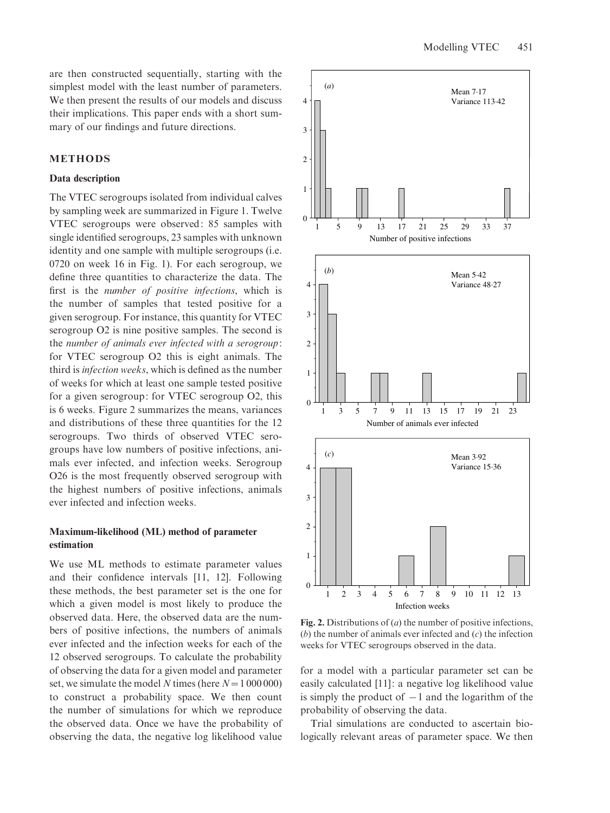are then constructed sequentially, starting with the simplest model with the least number of parameters. We then present the results of our models and discuss their implications. This paper ends with a short summary of our findings and future directions.

#### METHODS

#### Data description

The VTEC serogroups isolated from individual calves by sampling week are summarized in Figure 1. Twelve VTEC serogroups were observed: 85 samples with single identified serogroups, 23 samples with unknown identity and one sample with multiple serogroups (i.e. 0720 on week 16 in Fig. 1). For each serogroup, we define three quantities to characterize the data. The first is the number of positive infections, which is the number of samples that tested positive for a given serogroup. For instance, this quantity for VTEC serogroup O2 is nine positive samples. The second is the number of animals ever infected with a serogroup: for VTEC serogroup O2 this is eight animals. The third is infection weeks, which is defined as the number of weeks for which at least one sample tested positive for a given serogroup: for VTEC serogroup O2, this is 6 weeks. Figure 2 summarizes the means, variances and distributions of these three quantities for the 12 serogroups. Two thirds of observed VTEC serogroups have low numbers of positive infections, animals ever infected, and infection weeks. Serogroup O26 is the most frequently observed serogroup with the highest numbers of positive infections, animals ever infected and infection weeks.

#### Maximum-likelihood (ML) method of parameter estimation

We use ML methods to estimate parameter values and their confidence intervals [11, 12]. Following these methods, the best parameter set is the one for which a given model is most likely to produce the observed data. Here, the observed data are the numbers of positive infections, the numbers of animals ever infected and the infection weeks for each of the 12 observed serogroups. To calculate the probability of observing the data for a given model and parameter set, we simulate the model N times (here  $N=1000000$ ) to construct a probability space. We then count the number of simulations for which we reproduce the observed data. Once we have the probability of observing the data, the negative log likelihood value



Fig. 2. Distributions of  $(a)$  the number of positive infections,  $(b)$  the number of animals ever infected and  $(c)$  the infection weeks for VTEC serogroups observed in the data.

for a model with a particular parameter set can be easily calculated [11]: a negative log likelihood value is simply the product of  $-1$  and the logarithm of the probability of observing the data.

Trial simulations are conducted to ascertain biologically relevant areas of parameter space. We then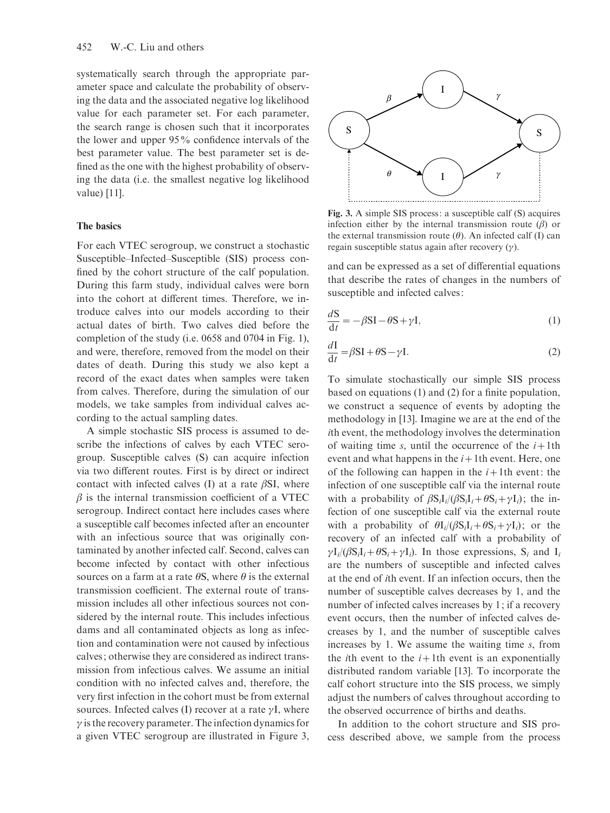systematically search through the appropriate parameter space and calculate the probability of observing the data and the associated negative log likelihood value for each parameter set. For each parameter, the search range is chosen such that it incorporates the lower and upper 95% confidence intervals of the best parameter value. The best parameter set is defined as the one with the highest probability of observing the data (i.e. the smallest negative log likelihood value) [11].

#### The basics

For each VTEC serogroup, we construct a stochastic Susceptible–Infected–Susceptible (SIS) process confined by the cohort structure of the calf population. During this farm study, individual calves were born into the cohort at different times. Therefore, we introduce calves into our models according to their actual dates of birth. Two calves died before the completion of the study (i.e. 0658 and 0704 in Fig. 1), and were, therefore, removed from the model on their dates of death. During this study we also kept a record of the exact dates when samples were taken from calves. Therefore, during the simulation of our models, we take samples from individual calves according to the actual sampling dates.

A simple stochastic SIS process is assumed to describe the infections of calves by each VTEC serogroup. Susceptible calves (S) can acquire infection via two different routes. First is by direct or indirect contact with infected calves (I) at a rate  $\beta SI$ , where  $\beta$  is the internal transmission coefficient of a VTEC serogroup. Indirect contact here includes cases where a susceptible calf becomes infected after an encounter with an infectious source that was originally contaminated by another infected calf. Second, calves can become infected by contact with other infectious sources on a farm at a rate  $\theta$ S, where  $\theta$  is the external transmission coefficient. The external route of transmission includes all other infectious sources not considered by the internal route. This includes infectious dams and all contaminated objects as long as infection and contamination were not caused by infectious calves; otherwise they are considered as indirect transmission from infectious calves. We assume an initial condition with no infected calves and, therefore, the very first infection in the cohort must be from external sources. Infected calves (I) recover at a rate  $\gamma I$ , where  $\gamma$  is the recovery parameter. The infection dynamics for a given VTEC serogroup are illustrated in Figure 3,



Fig. 3. A simple SIS process: a susceptible calf (S) acquires infection either by the internal transmission route  $(\beta)$  or the external transmission route  $(\theta)$ . An infected calf (I) can regain susceptible status again after recovery  $(y)$ .

and can be expressed as a set of differential equations that describe the rates of changes in the numbers of susceptible and infected calves:

$$
\frac{dS}{dt} = -\beta SI - \theta S + \gamma I,\tag{1}
$$

$$
\frac{dI}{dt} = \beta SI + \theta S - \gamma I.
$$
 (2)

To simulate stochastically our simple SIS process based on equations (1) and (2) for a finite population, we construct a sequence of events by adopting the methodology in [13]. Imagine we are at the end of the ith event, the methodology involves the determination of waiting time s, until the occurrence of the  $i+1$ th event and what happens in the  $i+1$ th event. Here, one of the following can happen in the  $i+1$ th event: the infection of one susceptible calf via the internal route with a probability of  $\beta S_i I_i/(\beta S_i I_i+\theta S_i+\gamma I_i)$ ; the infection of one susceptible calf via the external route with a probability of  $\theta I_i/(\beta S_i I_i+\theta S_i+\gamma I_i)$ ; or the recovery of an infected calf with a probability of  $\gamma I_i/(\beta S_i I_i + \theta S_i + \gamma I_i)$ . In those expressions,  $S_i$  and  $I_i$ are the numbers of susceptible and infected calves at the end of ith event. If an infection occurs, then the number of susceptible calves decreases by 1, and the number of infected calves increases by 1; if a recovery event occurs, then the number of infected calves decreases by 1, and the number of susceptible calves increases by 1. We assume the waiting time s, from the *i*th event to the  $i+1$ th event is an exponentially distributed random variable [13]. To incorporate the calf cohort structure into the SIS process, we simply adjust the numbers of calves throughout according to the observed occurrence of births and deaths.

In addition to the cohort structure and SIS process described above, we sample from the process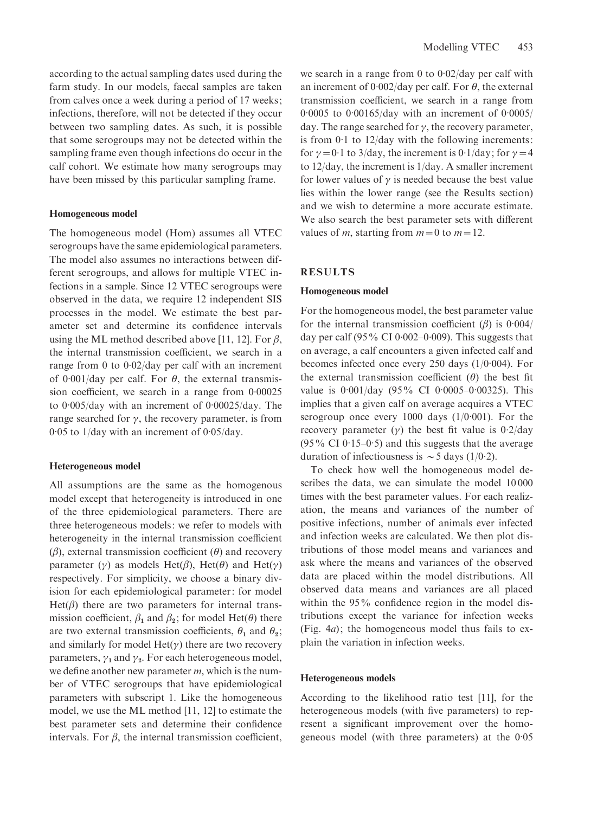according to the actual sampling dates used during the farm study. In our models, faecal samples are taken from calves once a week during a period of 17 weeks; infections, therefore, will not be detected if they occur between two sampling dates. As such, it is possible that some serogroups may not be detected within the sampling frame even though infections do occur in the calf cohort. We estimate how many serogroups may have been missed by this particular sampling frame.

#### Homogeneous model

The homogeneous model (Hom) assumes all VTEC serogroups have the same epidemiological parameters. The model also assumes no interactions between different serogroups, and allows for multiple VTEC infections in a sample. Since 12 VTEC serogroups were observed in the data, we require 12 independent SIS processes in the model. We estimate the best parameter set and determine its confidence intervals using the ML method described above [11, 12]. For  $\beta$ , the internal transmission coefficient, we search in a range from 0 to  $0.02$ /day per calf with an increment of 0.001/day per calf. For  $\theta$ , the external transmission coefficient, we search in a range from 0. 00025 to 0. 005/day with an increment of 0. 00025/day. The range searched for  $\gamma$ , the recovery parameter, is from 0. 05 to 1/day with an increment of 0. 05/day.

#### Heterogeneous model

All assumptions are the same as the homogenous model except that heterogeneity is introduced in one of the three epidemiological parameters. There are three heterogeneous models: we refer to models with heterogeneity in the internal transmission coefficient  $(\beta)$ , external transmission coefficient  $(\theta)$  and recovery parameter ( $\gamma$ ) as models Het( $\beta$ ), Het( $\theta$ ) and Het( $\gamma$ ) respectively. For simplicity, we choose a binary division for each epidemiological parameter: for model  $Het(\beta)$  there are two parameters for internal transmission coefficient,  $\beta_1$  and  $\beta_2$ ; for model Het( $\theta$ ) there are two external transmission coefficients,  $\theta_1$  and  $\theta_2$ ; and similarly for model  $Het(y)$  there are two recovery parameters,  $\gamma_1$  and  $\gamma_2$ . For each heterogeneous model, we define another new parameter  $m$ , which is the number of VTEC serogroups that have epidemiological parameters with subscript 1. Like the homogeneous model, we use the ML method [11, 12] to estimate the best parameter sets and determine their confidence intervals. For  $\beta$ , the internal transmission coefficient, we search in a range from  $0$  to  $0.02$ /day per calf with an increment of  $0.002$ /day per calf. For  $\theta$ , the external transmission coefficient, we search in a range from 0.0005 to 0.00165/day with an increment of 0.0005/ day. The range searched for  $\gamma$ , the recovery parameter, is from 0. 1 to 12/day with the following increments: for  $\gamma = 0.1$  to 3/day, the increment is 0.1/day; for  $\gamma = 4$ to 12/day, the increment is 1/day. A smaller increment for lower values of  $\gamma$  is needed because the best value lies within the lower range (see the Results section) and we wish to determine a more accurate estimate. We also search the best parameter sets with different values of m, starting from  $m=0$  to  $m=12$ .

#### RESULTS

#### Homogeneous model

For the homogeneous model, the best parameter value for the internal transmission coefficient  $(\beta)$  is 0.004/ day per calf  $(95\% \text{ CI } 0.002-0.009)$ . This suggests that on average, a calf encounters a given infected calf and becomes infected once every 250 days  $(1/0.004)$ . For the external transmission coefficient  $(\theta)$  the best fit value is 0.001/day (95% CI 0.0005-0.00325). This implies that a given calf on average acquires a VTEC serogroup once every  $1000$  days  $(1/0.001)$ . For the recovery parameter  $(y)$  the best fit value is 0.2/day  $(95\% \text{ CI } 0.15-0.5)$  and this suggests that the average duration of infectiousness is  $\sim$  5 days (1/0.2).

To check how well the homogeneous model describes the data, we can simulate the model 10 000 times with the best parameter values. For each realization, the means and variances of the number of positive infections, number of animals ever infected and infection weeks are calculated. We then plot distributions of those model means and variances and ask where the means and variances of the observed data are placed within the model distributions. All observed data means and variances are all placed within the 95% confidence region in the model distributions except the variance for infection weeks (Fig. 4a); the homogeneous model thus fails to explain the variation in infection weeks.

#### Heterogeneous models

According to the likelihood ratio test [11], for the heterogeneous models (with five parameters) to represent a significant improvement over the homogeneous model (with three parameters) at the 0. 05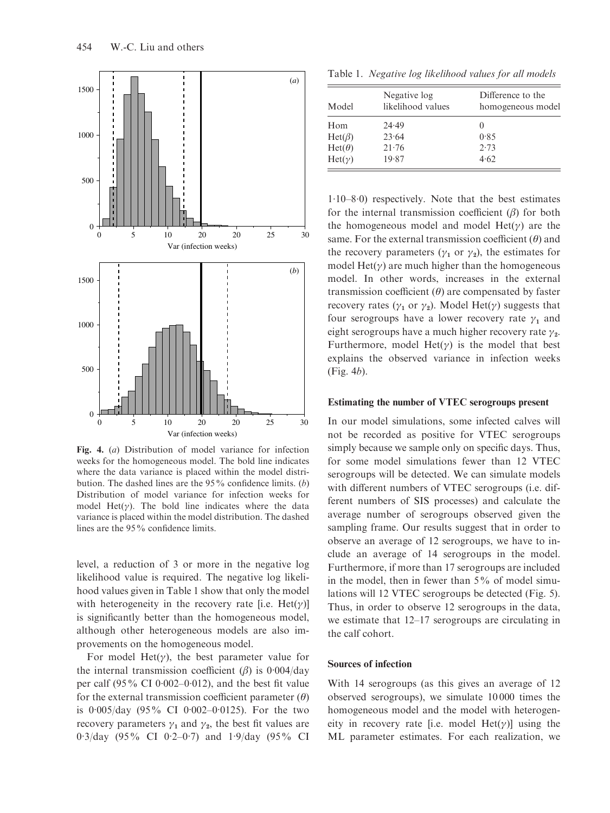

Fig. 4. (a) Distribution of model variance for infection weeks for the homogeneous model. The bold line indicates where the data variance is placed within the model distribution. The dashed lines are the  $95\%$  confidence limits. (b) Distribution of model variance for infection weeks for model Het( $\gamma$ ). The bold line indicates where the data variance is placed within the model distribution. The dashed lines are the 95% confidence limits.

level, a reduction of 3 or more in the negative log likelihood value is required. The negative log likelihood values given in Table 1 show that only the model with heterogeneity in the recovery rate [i.e.  $Het(y)$ ] is significantly better than the homogeneous model, although other heterogeneous models are also improvements on the homogeneous model.

For model Het( $\gamma$ ), the best parameter value for the internal transmission coefficient  $(\beta)$  is 0.004/day per calf  $(95\% \text{ CI } 0.002-0.012)$ , and the best fit value for the external transmission coefficient parameter  $(\theta)$ is 0. 005/day (95% CI 0. 002–0. 0125). For the two recovery parameters  $\gamma_1$  and  $\gamma_2$ , the best fit values are 0.3/day (95% CI 0.2-0.7) and 1.9/day (95% CI

Table 1. Negative log likelihood values for all models

| Model         | Negative log<br>likelihood values | Difference to the<br>homogeneous model |
|---------------|-----------------------------------|----------------------------------------|
| Hom           | 24.49                             |                                        |
| $Het(\beta)$  | 23.64                             | 0.85                                   |
| $Het(\theta)$ | 21.76                             | 2.73                                   |
| $Het(\gamma)$ | 19.87                             | 4.62                                   |

1. 10–8. 0) respectively. Note that the best estimates for the internal transmission coefficient  $(\beta)$  for both the homogeneous model and model  $Het(y)$  are the same. For the external transmission coefficient  $(\theta)$  and the recovery parameters ( $\gamma_1$  or  $\gamma_2$ ), the estimates for model Het( $\gamma$ ) are much higher than the homogeneous model. In other words, increases in the external transmission coefficient  $(\theta)$  are compensated by faster recovery rates ( $\gamma_1$  or  $\gamma_2$ ). Model Het( $\gamma$ ) suggests that four serogroups have a lower recovery rate  $\gamma_1$  and eight serogroups have a much higher recovery rate  $\gamma_2$ . Furthermore, model Het( $\gamma$ ) is the model that best explains the observed variance in infection weeks (Fig. 4b).

#### Estimating the number of VTEC serogroups present

In our model simulations, some infected calves will not be recorded as positive for VTEC serogroups simply because we sample only on specific days. Thus, for some model simulations fewer than 12 VTEC serogroups will be detected. We can simulate models with different numbers of VTEC serogroups (i.e. different numbers of SIS processes) and calculate the average number of serogroups observed given the sampling frame. Our results suggest that in order to observe an average of 12 serogroups, we have to include an average of 14 serogroups in the model. Furthermore, if more than 17 serogroups are included in the model, then in fewer than  $5\%$  of model simulations will 12 VTEC serogroups be detected (Fig. 5). Thus, in order to observe 12 serogroups in the data, we estimate that 12–17 serogroups are circulating in the calf cohort.

#### Sources of infection

With 14 serogroups (as this gives an average of 12 observed serogroups), we simulate 10 000 times the homogeneous model and the model with heterogeneity in recovery rate [i.e. model  $Het(y)]$  using the ML parameter estimates. For each realization, we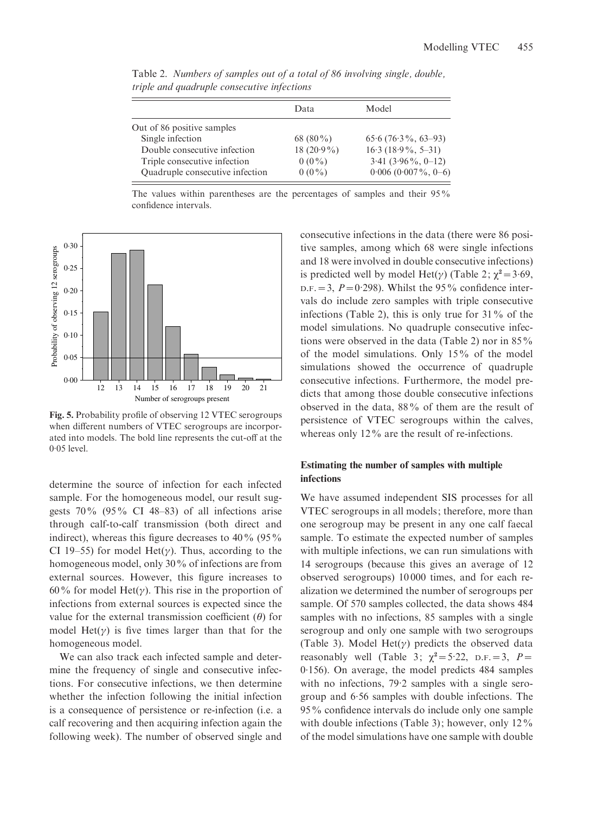|                                 | Data          | Model                 |  |
|---------------------------------|---------------|-----------------------|--|
|                                 |               |                       |  |
| Out of 86 positive samples      |               |                       |  |
| Single infection                | 68 (80 $\%$ ) | $65.6(76.3\%, 63-93)$ |  |
| Double consecutive infection    | 18 $(20.9\%)$ | $16.3(18.9\%, 5-31)$  |  |
| Triple consecutive infection    | $0(0\%)$      | $3.41(3.96\%, 0-12)$  |  |
| Quadruple consecutive infection | $0(0\%)$      | $0.006$ (0.007%, 0-6) |  |

Table 2. Numbers of samples out of a total of 86 involving single, double, triple and quadruple consecutive infections

The values within parentheses are the percentages of samples and their 95% confidence intervals.



Fig. 5. Probability profile of observing 12 VTEC serogroups when different numbers of VTEC serogroups are incorporated into models. The bold line represents the cut-off at the  $0.05$  level.

determine the source of infection for each infected sample. For the homogeneous model, our result suggests 70% (95% CI 48–83) of all infections arise through calf-to-calf transmission (both direct and indirect), whereas this figure decreases to  $40\%$  (95%) CI 19–55) for model Het( $\gamma$ ). Thus, according to the homogeneous model, only 30% of infections are from external sources. However, this figure increases to 60% for model Het( $\gamma$ ). This rise in the proportion of infections from external sources is expected since the value for the external transmission coefficient  $(\theta)$  for model Het( $\gamma$ ) is five times larger than that for the homogeneous model.

We can also track each infected sample and determine the frequency of single and consecutive infections. For consecutive infections, we then determine whether the infection following the initial infection is a consequence of persistence or re-infection (i.e. a calf recovering and then acquiring infection again the following week). The number of observed single and consecutive infections in the data (there were 86 positive samples, among which 68 were single infections and 18 were involved in double consecutive infections) is predicted well by model Het( $\gamma$ ) (Table 2;  $\chi^2 = 3.69$ ,  $D.F. = 3$ ,  $P = 0.298$ ). Whilst the 95% confidence intervals do include zero samples with triple consecutive infections (Table 2), this is only true for  $31\%$  of the model simulations. No quadruple consecutive infections were observed in the data (Table 2) nor in 85% of the model simulations. Only 15% of the model simulations showed the occurrence of quadruple consecutive infections. Furthermore, the model predicts that among those double consecutive infections observed in the data, 88% of them are the result of persistence of VTEC serogroups within the calves, whereas only 12% are the result of re-infections.

#### Estimating the number of samples with multiple infections

We have assumed independent SIS processes for all VTEC serogroups in all models; therefore, more than one serogroup may be present in any one calf faecal sample. To estimate the expected number of samples with multiple infections, we can run simulations with 14 serogroups (because this gives an average of 12 observed serogroups) 10 000 times, and for each realization we determined the number of serogroups per sample. Of 570 samples collected, the data shows 484 samples with no infections, 85 samples with a single serogroup and only one sample with two serogroups (Table 3). Model Het( $\gamma$ ) predicts the observed data reasonably well (Table 3;  $\chi^2 = 5.22$ , D.F. = 3, P = 0. 156). On average, the model predicts 484 samples with no infections, 79.2 samples with a single serogroup and 6. 56 samples with double infections. The 95% confidence intervals do include only one sample with double infections (Table 3); however, only  $12\%$ of the model simulations have one sample with double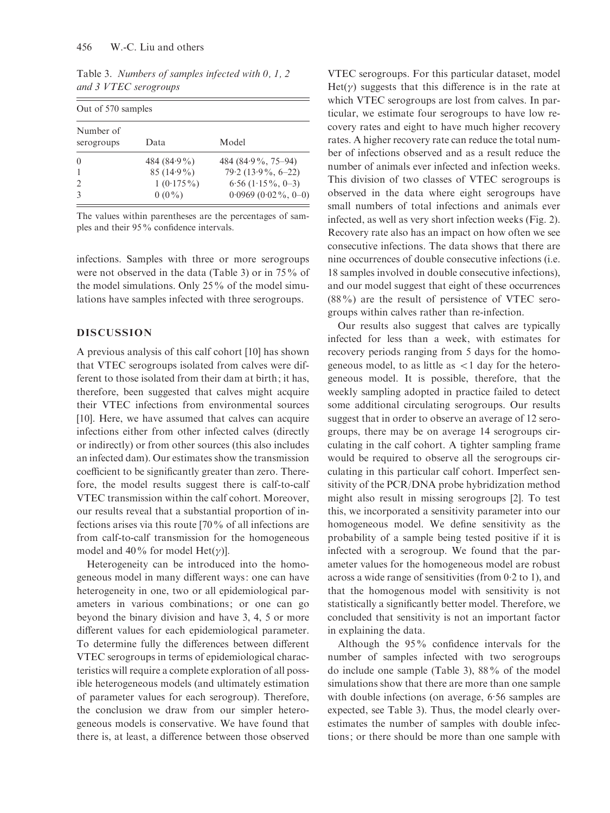| Out of 570 samples      |                |                        |  |  |
|-------------------------|----------------|------------------------|--|--|
| Number of<br>serogroups | Data           | Model                  |  |  |
| $\Omega$                | 484 $(84.9\%)$ | 484 (84.9 %, 75–94)    |  |  |
|                         | $85(14.9\%)$   | $79.2(13.9\%, 6-22)$   |  |  |
|                         | $1(0.175\%)$   | $6.56$ $(1.15\%, 0-3)$ |  |  |
|                         | $0(0\%)$       | $0.0969(0.02\%, 0-0)$  |  |  |

Table 3. Numbers of samples infected with 0, 1, 2 and 3 VTEC serogroups

The values within parentheses are the percentages of samples and their 95% confidence intervals.

infections. Samples with three or more serogroups were not observed in the data (Table 3) or in 75% of the model simulations. Only 25% of the model simulations have samples infected with three serogroups.

#### DISCUSSION

A previous analysis of this calf cohort [10] has shown that VTEC serogroups isolated from calves were different to those isolated from their dam at birth; it has, therefore, been suggested that calves might acquire their VTEC infections from environmental sources [10]. Here, we have assumed that calves can acquire infections either from other infected calves (directly or indirectly) or from other sources (this also includes an infected dam). Our estimates show the transmission coefficient to be significantly greater than zero. Therefore, the model results suggest there is calf-to-calf VTEC transmission within the calf cohort. Moreover, our results reveal that a substantial proportion of infections arises via this route [70% of all infections are from calf-to-calf transmission for the homogeneous model and 40% for model Het( $\gamma$ ).

Heterogeneity can be introduced into the homogeneous model in many different ways: one can have heterogeneity in one, two or all epidemiological parameters in various combinations; or one can go beyond the binary division and have 3, 4, 5 or more different values for each epidemiological parameter. To determine fully the differences between different VTEC serogroups in terms of epidemiological characteristics will require a complete exploration of all possible heterogeneous models (and ultimately estimation of parameter values for each serogroup). Therefore, the conclusion we draw from our simpler heterogeneous models is conservative. We have found that there is, at least, a difference between those observed

VTEC serogroups. For this particular dataset, model  $Het(\gamma)$  suggests that this difference is in the rate at which VTEC serogroups are lost from calves. In particular, we estimate four serogroups to have low recovery rates and eight to have much higher recovery rates. A higher recovery rate can reduce the total number of infections observed and as a result reduce the number of animals ever infected and infection weeks. This division of two classes of VTEC serogroups is observed in the data where eight serogroups have small numbers of total infections and animals ever infected, as well as very short infection weeks (Fig. 2). Recovery rate also has an impact on how often we see consecutive infections. The data shows that there are nine occurrences of double consecutive infections (i.e. 18 samples involved in double consecutive infections), and our model suggest that eight of these occurrences (88%) are the result of persistence of VTEC serogroups within calves rather than re-infection.

Our results also suggest that calves are typically infected for less than a week, with estimates for recovery periods ranging from 5 days for the homogeneous model, to as little as  $\lt 1$  day for the heterogeneous model. It is possible, therefore, that the weekly sampling adopted in practice failed to detect some additional circulating serogroups. Our results suggest that in order to observe an average of 12 serogroups, there may be on average 14 serogroups circulating in the calf cohort. A tighter sampling frame would be required to observe all the serogroups circulating in this particular calf cohort. Imperfect sensitivity of the PCR/DNA probe hybridization method might also result in missing serogroups [2]. To test this, we incorporated a sensitivity parameter into our homogeneous model. We define sensitivity as the probability of a sample being tested positive if it is infected with a serogroup. We found that the parameter values for the homogeneous model are robust across a wide range of sensitivities (from 0. 2 to 1), and that the homogenous model with sensitivity is not statistically a significantly better model. Therefore, we concluded that sensitivity is not an important factor in explaining the data.

Although the 95% confidence intervals for the number of samples infected with two serogroups do include one sample (Table 3), 88% of the model simulations show that there are more than one sample with double infections (on average, 6. 56 samples are expected, see Table 3). Thus, the model clearly overestimates the number of samples with double infections; or there should be more than one sample with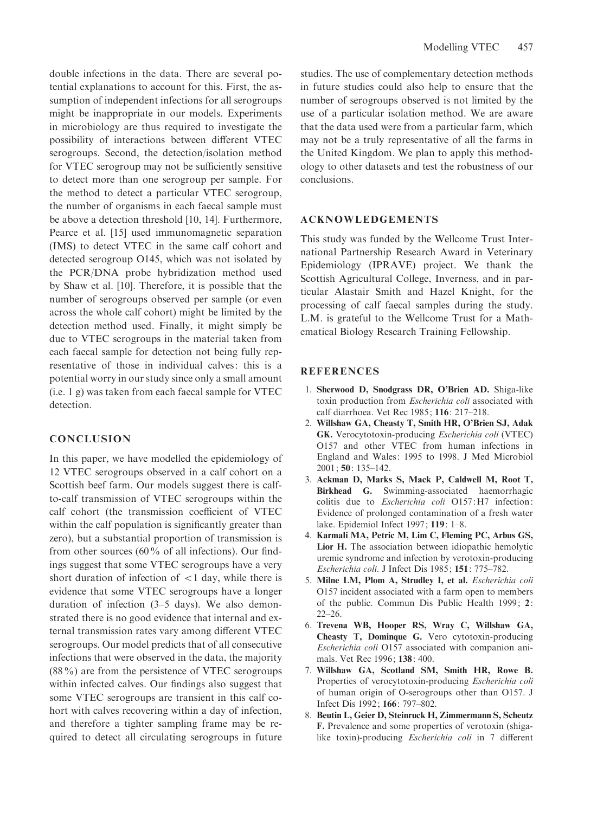double infections in the data. There are several potential explanations to account for this. First, the assumption of independent infections for all serogroups might be inappropriate in our models. Experiments in microbiology are thus required to investigate the possibility of interactions between different VTEC serogroups. Second, the detection/isolation method for VTEC serogroup may not be sufficiently sensitive to detect more than one serogroup per sample. For the method to detect a particular VTEC serogroup, the number of organisms in each faecal sample must be above a detection threshold [10, 14]. Furthermore, Pearce et al. [15] used immunomagnetic separation (IMS) to detect VTEC in the same calf cohort and detected serogroup O145, which was not isolated by the PCR/DNA probe hybridization method used by Shaw et al. [10]. Therefore, it is possible that the number of serogroups observed per sample (or even across the whole calf cohort) might be limited by the detection method used. Finally, it might simply be due to VTEC serogroups in the material taken from each faecal sample for detection not being fully representative of those in individual calves: this is a potential worry in our study since only a small amount (i.e. 1 g) was taken from each faecal sample for VTEC detection.

#### **CONCLUSION**

In this paper, we have modelled the epidemiology of 12 VTEC serogroups observed in a calf cohort on a Scottish beef farm. Our models suggest there is calfto-calf transmission of VTEC serogroups within the calf cohort (the transmission coefficient of VTEC within the calf population is significantly greater than zero), but a substantial proportion of transmission is from other sources (60% of all infections). Our findings suggest that some VTEC serogroups have a very short duration of infection of  $\langle 1 \rangle$  day, while there is evidence that some VTEC serogroups have a longer duration of infection (3–5 days). We also demonstrated there is no good evidence that internal and external transmission rates vary among different VTEC serogroups. Our model predicts that of all consecutive infections that were observed in the data, the majority (88%) are from the persistence of VTEC serogroups within infected calves. Our findings also suggest that some VTEC serogroups are transient in this calf cohort with calves recovering within a day of infection, and therefore a tighter sampling frame may be required to detect all circulating serogroups in future

studies. The use of complementary detection methods in future studies could also help to ensure that the number of serogroups observed is not limited by the use of a particular isolation method. We are aware that the data used were from a particular farm, which may not be a truly representative of all the farms in the United Kingdom. We plan to apply this methodology to other datasets and test the robustness of our conclusions.

#### ACKNOWLEDGEMENTS

This study was funded by the Wellcome Trust International Partnership Research Award in Veterinary Epidemiology (IPRAVE) project. We thank the Scottish Agricultural College, Inverness, and in particular Alastair Smith and Hazel Knight, for the processing of calf faecal samples during the study. L.M. is grateful to the Wellcome Trust for a Mathematical Biology Research Training Fellowship.

#### **REFERENCES**

- 1. Sherwood D, Snodgrass DR, O'Brien AD. Shiga-like toxin production from Escherichia coli associated with calf diarrhoea. Vet Rec 1985; 116: 217–218.
- 2. Willshaw GA, Cheasty T, Smith HR, O'Brien SJ, Adak GK. Verocytotoxin-producing Escherichia coli (VTEC) O157 and other VTEC from human infections in England and Wales: 1995 to 1998. J Med Microbiol 2001; 50: 135–142.
- 3. Ackman D, Marks S, Mack P, Caldwell M, Root T, Birkhead G. Swimming-associated haemorrhagic colitis due to Escherichia coli O157:H7 infection: Evidence of prolonged contamination of a fresh water lake. Epidemiol Infect 1997; 119: 1–8.
- 4. Karmali MA, Petric M, Lim C, Fleming PC, Arbus GS, Lior H. The association between idiopathic hemolytic uremic syndrome and infection by verotoxin-producing Escherichia coli. J Infect Dis 1985; 151: 775–782.
- 5. Milne LM, Plom A, Strudley I, et al. Escherichia coli O157 incident associated with a farm open to members of the public. Commun Dis Public Health 1999; 2: 22–26.
- 6. Trevena WB, Hooper RS, Wray C, Willshaw GA, Cheasty T, Dominque G. Vero cytotoxin-producing Escherichia coli O157 associated with companion animals. Vet Rec 1996; 138: 400.
- 7. Willshaw GA, Scotland SM, Smith HR, Rowe B. Properties of verocytotoxin-producing Escherichia coli of human origin of O-serogroups other than O157. J Infect Dis 1992; 166: 797–802.
- 8. Beutin L, Geier D, Steinruck H, Zimmermann S, Scheutz F. Prevalence and some properties of verotoxin (shigalike toxin)-producing Escherichia coli in 7 different